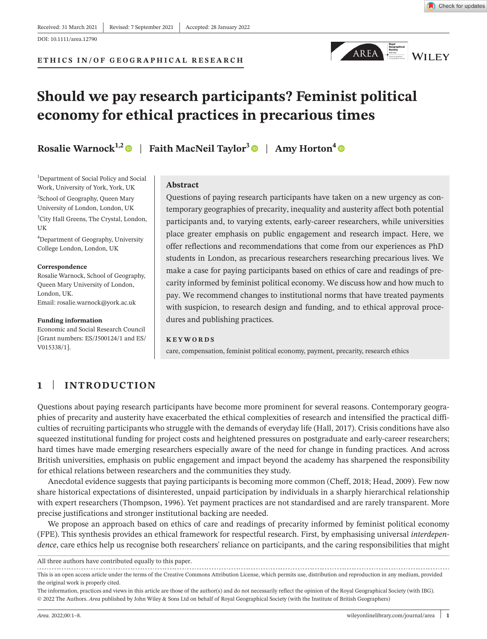**ETHICS IN/OF GEOGRAPHICAL RESEARCH**



## **Should we pay research participants? Feminist political economy for ethical practices in precarious times**

**Rosalie Warnock**<sup>1,[2](https://orcid.org/0000-0003-0155-8957)</sup> | Faith MacNeil Taylor<sup>[3](https://orcid.org/0000-0002-3740-8048)</sup> | Amy Horton<sup>[4](https://orcid.org/0000-0001-5798-9620)</sup> | **Comparent** 

1 Department of Social Policy and Social Work, University of York, York, UK <sup>2</sup>School of Geography, Queen Mary University of London, London, UK 3 City Hall Greens, The Crystal, London, UK 4 Department of Geography, University

College London, London, UK

**Correspondence**

Rosalie Warnock, School of Geography, Queen Mary University of London, London, UK. Email: [rosalie.warnock@york.ac.uk](mailto:rosalie.warnock@york.ac.uk)

#### **Funding information**

Economic and Social Research Council [Grant numbers: ES/J500124/1 and ES/ V015338/1].

### **Abstract**

Questions of paying research participants have taken on a new urgency as contemporary geographies of precarity, inequality and austerity affect both potential participants and, to varying extents, early-career researchers, while universities place greater emphasis on public engagement and research impact. Here, we offer reflections and recommendations that come from our experiences as PhD students in London, as precarious researchers researching precarious lives. We make a case for paying participants based on ethics of care and readings of precarity informed by feminist political economy. We discuss how and how much to pay. We recommend changes to institutional norms that have treated payments with suspicion, to research design and funding, and to ethical approval procedures and publishing practices.

### **KEYWORDS**

care, compensation, feminist political economy, payment, precarity, research ethics

## **1** | **INTRODUCTION**

Questions about paying research participants have become more prominent for several reasons. Contemporary geographies of precarity and austerity have exacerbated the ethical complexities of research and intensified the practical difficulties of recruiting participants who struggle with the demands of everyday life (Hall, 2017). Crisis conditions have also squeezed institutional funding for project costs and heightened pressures on postgraduate and early-career researchers; hard times have made emerging researchers especially aware of the need for change in funding practices. And across British universities, emphasis on public engagement and impact beyond the academy has sharpened the responsibility for ethical relations between researchers and the communities they study.

Anecdotal evidence suggests that paying participants is becoming more common (Cheff, 2018; Head, 2009). Few now share historical expectations of disinterested, unpaid participation by individuals in a sharply hierarchical relationship with expert researchers (Thompson, 1996). Yet payment practices are not standardised and are rarely transparent. More precise justifications and stronger institutional backing are needed.

We propose an approach based on ethics of care and readings of precarity informed by feminist political economy (FPE). This synthesis provides an ethical framework for respectful research. First, by emphasising universal *interdependence*, care ethics help us recognise both researchers' reliance on participants, and the caring responsibilities that might

All three authors have contributed equally to this paper.

This is an open access article under the terms of the Creative Commons [Attribution](http://creativecommons.org/licenses/by/4.0/) License, which permits use, distribution and reproduction in any medium, provided the original work is properly cited.

The information, practices and views in this article are those of the author(s) and do not necessarily reflect the opinion of the Royal Geographical Society (with IBG). © 2022 The Authors. *Area* published by John Wiley & Sons Ltd on behalf of Royal Geographical Society (with the Institute of British Geographers)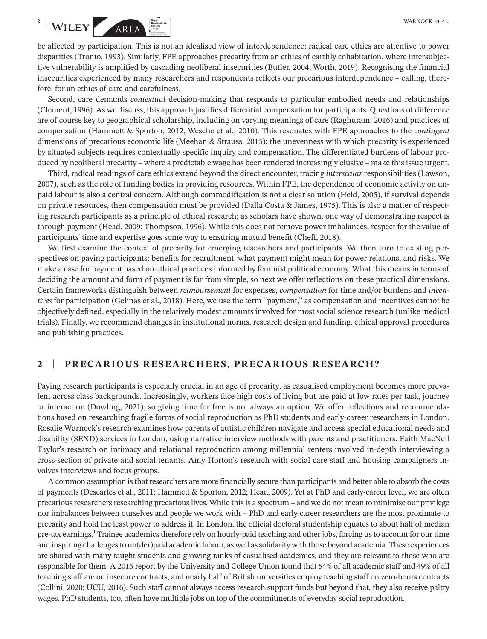be affected by participation. This is not an idealised view of interdependence: radical care ethics are attentive to power disparities (Tronto, 1993). Similarly, FPE approaches precarity from an ethics of earthly cohabitation, where intersubjective vulnerability is amplified by cascading neoliberal insecurities (Butler, 2004; Worth, 2019). Recognising the financial insecurities experienced by many researchers and respondents reflects our precarious interdependence – calling, therefore, for an ethics of care and carefulness.

Second, care demands *contextual* decision-making that responds to particular embodied needs and relationships (Clement, 1996). As we discuss, this approach justifies differential compensation for participants. Questions of difference are of course key to geographical scholarship, including on varying meanings of care (Raghuram, 2016) and practices of compensation (Hammett & Sporton, 2012; Wesche et al., 2010). This resonates with FPE approaches to the *contingent* dimensions of precarious economic life (Meehan & Strauss, 2015): the unevenness with which precarity is experienced by situated subjects requires contextually specific inquiry and compensation. The differentiated burdens of labour produced by neoliberal precarity – where a predictable wage has been rendered increasingly elusive – make thisissue urgent.

Third, radical readings of care ethics extend beyond the direct encounter, tracing *interscalar* responsibilities (Lawson, 2007), such as the role of funding bodies in providing resources. Within FPE, the dependence of economic activity on unpaid labour is also a central concern. Although commodification is not a clear solution (Held, 2005), if survival depends on private resources, then compensation must be provided (Dalla Costa & James, 1975). This is also a matter of respecting research participants as a principle of ethical research; as scholars have shown, one way of demonstrating respect is through payment (Head, 2009; Thompson, 1996). While this does not remove power imbalances, respect for the value of participants' time and expertise goes some way to ensuring mutual benefit (Cheff, 2018).

We first examine the context of precarity for emerging researchers and participants. We then turn to existing perspectives on paying participants: benefits for recruitment, what payment might mean for power relations, and risks. We make a case for payment based on ethical practices informed by feminist political economy. What this means in terms of deciding the amount and form of payment is far from simple, so next we offer reflections on these practical dimensions. Certain frameworks distinguish between *reimbursement* for expenses, *compensation* for time and/or burdens and *incentives* for participation (Gelinas et al., 2018). Here, we use the term "payment," as compensation and incentives cannot be objectively defined, especially in the relatively modest amounts involved for most social science research (unlike medical trials). Finally, we recommend changes in institutional norms, research design and funding, ethical approval procedures and publishing practices.

## **2** | **PRECARIOUS RESEARCHERS, PRECARIOUS RESEARCH?**

Paying research participants is especially crucial in an age of precarity, as casualised employment becomes more prevalent across class backgrounds. Increasingly, workers face high costs of living but are paid at low rates per task, journey or interaction (Dowling, 2021), so giving time for free is not always an option. We offer reflections and recommendations based on researching fragile forms of social reproduction as PhD students and early-career researchers in London. Rosalie Warnock's research examines how parents of autistic children navigate and access special educational needs and disability (SEND) services in London, using narrative interview methods with parents and practitioners. Faith MacNeil Taylor's research on intimacy and relational reproduction among millennial renters involved in-depth interviewing a cross-section of private and social tenants. Amy Horton's research with social care staff and housing campaigners involves interviews and focus groups.

A common assumption is that researchers are more financially secure than participants and better able to absorb the costs of payments (Descartes et al., 2011; Hammett & Sporton, 2012; Head, 2009). Yet at PhD and early-career level, we are often precarious researchers researching precarious lives. While this is a spectrum – and we do not mean to minimise our privilege nor imbalances between ourselves and people we work with – PhD and early-career researchers are the most proximate to precarity and hold the least power to address it. In London, the official doctoral studentship equates to about half of median pre-tax earnings.<sup>1</sup> Trainee academics therefore rely on hourly-paid teaching and other jobs, forcing us to account for our time and inspiring challengesto un(der)paid academic labour, as well assolidarity with those beyond academia.These experiences are shared with many taught students and growing ranks of casualised academics, and they are relevant to those who are responsible for them. A 2016 report by the University and College Union found that 54% of all academic staff and 49% of all teaching staff are on insecure contracts, and nearly half of British universities employ teaching staff on zero-hours contracts (Collini, 2020; UCU, 2016). Such staff cannot always access research support funds but beyond that, they also receive paltry wages. PhD students, too, often have multiple jobs on top of the commitments of everyday social reproduction.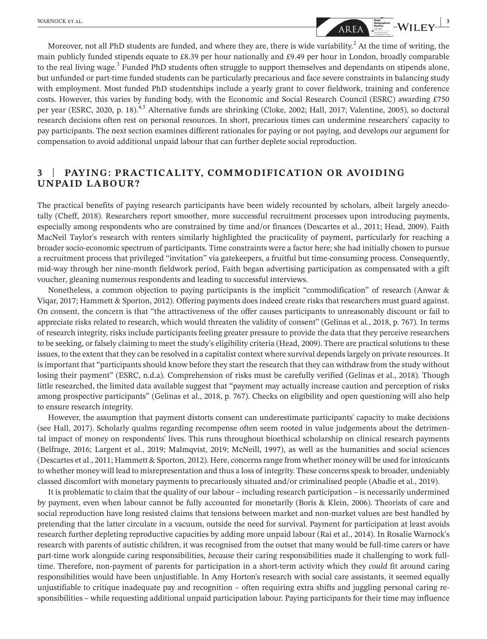

Moreover, not all PhD students are funded, and where they are, there is wide variability.<sup>2</sup> At the time of writing, the main publicly funded stipends equate to £8.39 per hour nationally and £9.49 per hour in London, broadly comparable to the real living wage.<sup>3</sup> Funded PhD students often struggle to support themselves and dependants on stipends alone, but unfunded or part-time funded students can be particularly precarious and face severe constraints in balancing study with employment. Most funded PhD studentships include a yearly grant to cover fieldwork, training and conference costs. However, this varies by funding body, with the Economic and Social Research Council (ESRC) awarding £750 per year (ESRC, 2020, p. 18).<sup>4,5</sup> Alternative funds are shrinking (Cloke, 2002; Hall, 2017; Valentine, 2005), so doctoral research decisions often rest on personal resources. In short, precarious times can undermine researchers' capacity to pay participants. The next section examines different rationales for paying or not paying, and develops our argument for compensation to avoid additional unpaid labour that can further deplete social reproduction.

## **3** | **PAYING: PRACTICALITY, COMMODIFICATION OR AVOIDING UNPAID LABOUR?**

The practical benefits of paying research participants have been widely recounted by scholars, albeit largely anecdotally (Cheff, 2018). Researchers report smoother, more successful recruitment processes upon introducing payments, especially among respondents who are constrained by time and/or finances (Descartes et al., 2011; Head, 2009). Faith MacNeil Taylor's research with renters similarly highlighted the practicality of payment, particularly for reaching a broader socio-economic spectrum of participants. Time constraints were a factor here; she had initially chosen to pursue a recruitment process that privileged "invitation" via gatekeepers, a fruitful but time-consuming process. Consequently, mid-way through her nine-month fieldwork period, Faith began advertising participation as compensated with a gift voucher, gleaning numerous respondents and leading to successful interviews.

Nonetheless, a common objection to paying participants is the implicit "commodification" of research (Anwar & Viqar, 2017; Hammett & Sporton, 2012). Offering payments does indeed create risks that researchers must guard against. On consent, the concern is that "the attractiveness of the offer causes participants to unreasonably discount or fail to appreciate risks related to research, which would threaten the validity of consent" (Gelinas et al., 2018, p. 767). In terms of research integrity, risks include participants feeling greater pressure to provide the data that they perceive researchers to be seeking, or falsely claiming to meet the study's eligibility criteria (Head, 2009). There are practical solutions to these issues, to the extent that they can be resolved in a capitalist context where survival dependslargely on private resources. It is important that "participants should know before they start the research that they can withdraw from the study without losing their payment" (ESRC, n.d.a). Comprehension of risks must be carefully verified (Gelinas et al., 2018). Though little researched, the limited data available suggest that "payment may actually increase caution and perception of risks among prospective participants" (Gelinas et al., 2018, p. 767). Checks on eligibility and open questioning will also help to ensure research integrity.

However, the assumption that payment distorts consent can underestimate participants' capacity to make decisions (see Hall, 2017). Scholarly qualms regarding recompense often seem rooted in value judgements about the detrimental impact of money on respondents' lives. This runs throughout bioethical scholarship on clinical research payments (Belfrage, 2016; Largent et al., 2019; Malmqvist, 2019; McNeill, 1997), as well as the humanities and social sciences (Descartes et al., 2011; Hammett & Sporton, 2012). Here, concernsrange from whether money will be used for intoxicants to whether money will lead to misrepresentation and thus a loss of integrity. These concernsspeak to broader, undeniably classed discomfort with monetary payments to precariously situated and/or criminalised people (Abadie et al., 2019).

It is problematic to claim that the quality of our labour – including research participation – is necessarily undermined by payment, even when labour cannot be fully accounted for monetarily (Boris & Klein, 2006). Theorists of care and social reproduction have long resisted claims that tensions between market and non-market values are best handled by pretending that the latter circulate in a vacuum, outside the need for survival. Payment for participation at least avoids research further depleting reproductive capacities by adding more unpaid labour (Rai et al., 2014). In Rosalie Warnock's research with parents of autistic children, it was recognised from the outset that many would be full-time carers or have part-time work alongside caring responsibilities, *because* their caring responsibilities made it challenging to work fulltime. Therefore, non-payment of parents for participation in a short-term activity which they *could* fit around caring responsibilities would have been unjustifiable. In Amy Horton's research with social care assistants, it seemed equally unjustifiable to critique inadequate pay and recognition – often requiring extra shifts and juggling personal caring responsibilities – while requesting additional unpaid participation labour. Paying participants for their time may influence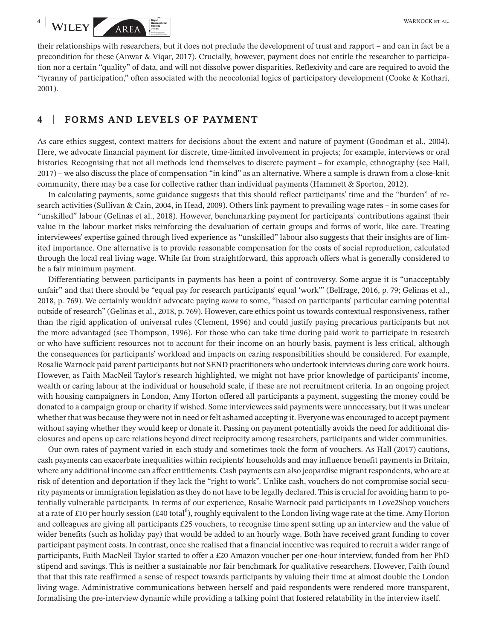their relationships with researchers, but it does not preclude the development of trust and rapport – and can in fact be a precondition for these (Anwar & Viqar, 2017). Crucially, however, payment does not entitle the researcher to participation nor a certain "quality" of data, and will not dissolve power disparities. Reflexivity and care are required to avoid the "tyranny of participation," often associated with the neocolonial logics of participatory development (Cooke & Kothari, 2001).

## **4** | **FORMS AND LEVELS OF PAYMENT**

As care ethics suggest, context matters for decisions about the extent and nature of payment (Goodman et al., 2004). Here, we advocate financial payment for discrete, time-limited involvement in projects; for example, interviews or oral histories. Recognising that not all methods lend themselves to discrete payment – for example, ethnography (see Hall, 2017) – we also discuss the place of compensation "in kind" as an alternative. Where a sample is drawn from a close-knit community, there may be a case for collective rather than individual payments (Hammett & Sporton, 2012).

In calculating payments, some guidance suggests that this should reflect participants' time and the "burden" of research activities (Sullivan & Cain, 2004, in Head, 2009). Others link payment to prevailing wage rates – in some cases for "unskilled" labour (Gelinas et al., 2018). However, benchmarking payment for participants' contributions against their value in the labour market risks reinforcing the devaluation of certain groups and forms of work, like care. Treating interviewees' expertise gained through lived experience as "unskilled" labour also suggests that their insights are of limited importance. One alternative is to provide reasonable compensation for the costs of social reproduction, calculated through the local real living wage. While far from straightforward, this approach offers what is generally considered to be a fair minimum payment.

Differentiating between participants in payments has been a point of controversy. Some argue it is "unacceptably unfair" and that there should be "equal pay for research participants' equal 'work'" (Belfrage, 2016, p. 79; Gelinas et al., 2018, p. 769). We certainly wouldn't advocate paying *more* to some, "based on participants' particular earning potential outside of research" (Gelinas et al., 2018, p. 769). However, care ethics point us towards contextual responsiveness, rather than the rigid application of universal rules (Clement, 1996) and could justify paying precarious participants but not the more advantaged (see Thompson, 1996). For those who can take time during paid work to participate in research or who have sufficient resources not to account for their income on an hourly basis, payment is less critical, although the consequences for participants' workload and impacts on caring responsibilities should be considered. For example, Rosalie Warnock paid parent participants but not SEND practitioners who undertook interviews during core work hours. However, as Faith MacNeil Taylor's research highlighted, we might not have prior knowledge of participants' income, wealth or caring labour at the individual or household scale, if these are not recruitment criteria. In an ongoing project with housing campaigners in London, Amy Horton offered all participants a payment, suggesting the money could be donated to a campaign group or charity if wished. Some interviewees said payments were unnecessary, but it was unclear whether that was because they were not in need or felt ashamed accepting it. Everyone was encouraged to accept payment without saying whether they would keep or donate it. Passing on payment potentially avoids the need for additional disclosures and opens up care relations beyond direct reciprocity among researchers, participants and wider communities.

Our own rates of payment varied in each study and sometimes took the form of vouchers. As Hall (2017) cautions, cash payments can exacerbate inequalities within recipients' households and may influence benefit payments in Britain, where any additional income can affect entitlements. Cash payments can also jeopardise migrant respondents, who are at risk of detention and deportation if they lack the "right to work". Unlike cash, vouchers do not compromise social security payments or immigration legislation asthey do not have to be legally declared. Thisis crucial for avoiding harm to potentially vulnerable participants. In terms of our experience, Rosalie Warnock paid participants in Love2Shop vouchers at a rate of £10 per hourly session (£40 total<sup>6</sup>), roughly equivalent to the London living wage rate at the time. Amy Horton and colleagues are giving all participants £25 vouchers, to recognise time spent setting up an interview and the value of wider benefits (such as holiday pay) that would be added to an hourly wage. Both have received grant funding to cover participant payment costs. In contrast, once she realised that a financial incentive wasrequired to recruit a wider range of participants, Faith MacNeil Taylor started to offer a £20 Amazon voucher per one-hour interview, funded from her PhD stipend and savings. This is neither a sustainable nor fair benchmark for qualitative researchers. However, Faith found that that this rate reaffirmed a sense of respect towards participants by valuing their time at almost double the London living wage. Administrative communications between herself and paid respondents were rendered more transparent, formalising the pre-interview dynamic while providing a talking point that fostered relatability in the interview itself.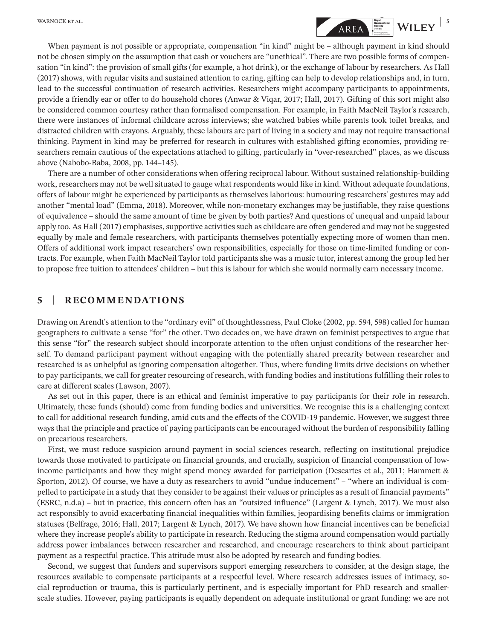# **MARNOCK ET AL. 5**<br> **SERVICES SERVICES SERVICES SERVICES SERVICES SERVICES SERVICES SERVICES SERVICES SERVICES SERVICES**

When payment is not possible or appropriate, compensation "in kind" might be – although payment in kind should not be chosen simply on the assumption that cash or vouchers are "unethical". There are two possible forms of compensation "in kind": the provision of small gifts (for example, a hot drink), or the exchange of labour by researchers. As Hall (2017) shows, with regular visits and sustained attention to caring, gifting can help to develop relationships and, in turn, lead to the successful continuation of research activities. Researchers might accompany participants to appointments, provide a friendly ear or offer to do household chores (Anwar & Viqar, 2017; Hall, 2017). Gifting of this sort might also be considered common courtesy rather than formalised compensation. For example, in Faith MacNeil Taylor's research, there were instances of informal childcare across interviews; she watched babies while parents took toilet breaks, and distracted children with crayons. Arguably, these labours are part of living in a society and may not require transactional thinking. Payment in kind may be preferred for research in cultures with established gifting economies, providing researchers remain cautious of the expectations attached to gifting, particularly in "over-researched" places, as we discuss above (Nabobo-Baba, 2008, pp. 144–145).

There are a number of other considerations when offering reciprocal labour. Without sustained relationship-building work, researchers may not be well situated to gauge what respondents would like in kind. Without adequate foundations, offers of labour might be experienced by participants as themselves laborious: humouring researchers' gestures may add another "mental load" (Emma, 2018). Moreover, while non-monetary exchanges may be justifiable, they raise questions of equivalence – should the same amount of time be given by both parties? And questions of unequal and unpaid labour apply too. As Hall (2017) emphasises, supportive activities such as childcare are often gendered and may not be suggested equally by male and female researchers, with participants themselves potentially expecting more of women than men. Offers of additional work impact researchers' own responsibilities, especially for those on time-limited funding or contracts. For example, when Faith MacNeil Taylor told participants she was a music tutor, interest among the group led her to propose free tuition to attendees' children – but this is labour for which she would normally earn necessary income.

## **5** | **RECOMMENDATIONS**

Drawing on Arendt's attention to the "ordinary evil" of thoughtlessness, Paul Cloke (2002, pp. 594, 598) called for human geographers to cultivate a sense "for" the other. Two decades on, we have drawn on feminist perspectives to argue that this sense "for" the research subject should incorporate attention to the often unjust conditions of the researcher herself. To demand participant payment without engaging with the potentially shared precarity between researcher and researched is as unhelpful as ignoring compensation altogether. Thus, where funding limits drive decisions on whether to pay participants, we call for greater resourcing of research, with funding bodies and institutions fulfilling their roles to care at different scales (Lawson, 2007).

As set out in this paper, there is an ethical and feminist imperative to pay participants for their role in research. Ultimately, these funds (should) come from funding bodies and universities. We recognise this is a challenging context to call for additional research funding, amid cuts and the effects of the COVID-19 pandemic. However, we suggest three ways that the principle and practice of paying participants can be encouraged without the burden of responsibility falling on precarious researchers.

First, we must reduce suspicion around payment in social sciences research, reflecting on institutional prejudice towards those motivated to participate on financial grounds, and crucially, suspicion of financial compensation of lowincome participants and how they might spend money awarded for participation (Descartes et al., 2011; Hammett & Sporton, 2012). Of course, we have a duty as researchers to avoid "undue inducement" – "where an individual is compelled to participate in a study that they consider to be against their values or principles as a result of financial payments" (ESRC, n.d.a) – but in practice, this concern often has an "outsized influence" (Largent & Lynch, 2017). We must also act responsibly to avoid exacerbating financial inequalities within families, jeopardising benefits claims or immigration statuses (Belfrage, 2016; Hall, 2017; Largent & Lynch, 2017). We have shown how financial incentives can be beneficial where they increase people's ability to participate in research. Reducing the stigma around compensation would partially address power imbalances between researcher and researched, and encourage researchers to think about participant payment as a respectful practice. This attitude must also be adopted by research and funding bodies.

Second, we suggest that funders and supervisors support emerging researchers to consider, at the design stage, the resources available to compensate participants at a respectful level. Where research addresses issues of intimacy, social reproduction or trauma, this is particularly pertinent, and is especially important for PhD research and smallerscale studies. However, paying participants is equally dependent on adequate institutional or grant funding: we are not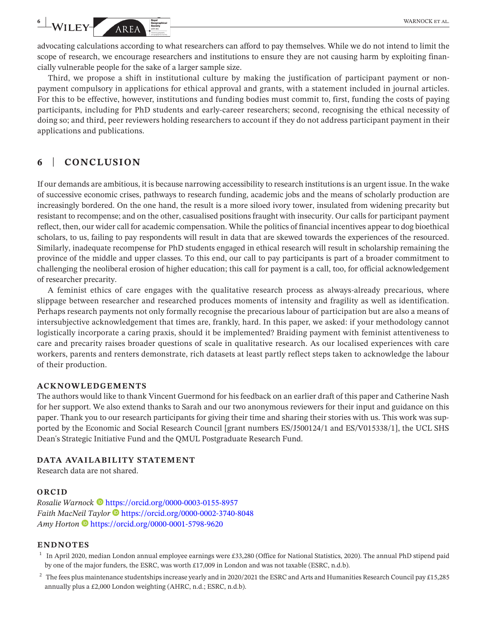advocating calculations according to what researchers can afford to pay themselves. While we do not intend to limit the scope of research, we encourage researchers and institutions to ensure they are not causing harm by exploiting financially vulnerable people for the sake of a larger sample size.

Third, we propose a shift in institutional culture by making the justification of participant payment or nonpayment compulsory in applications for ethical approval and grants, with a statement included in journal articles. For this to be effective, however, institutions and funding bodies must commit to, first, funding the costs of paying participants, including for PhD students and early-career researchers; second, recognising the ethical necessity of doing so; and third, peer reviewers holding researchers to account if they do not address participant payment in their applications and publications.

## **6** | **CONCLUSION**

If our demands are ambitious, it is because narrowing accessibility to research institutions is an urgent issue. In the wake of successive economic crises, pathways to research funding, academic jobs and the means of scholarly production are increasingly bordered. On the one hand, the result is a more siloed ivory tower, insulated from widening precarity but resistant to recompense; and on the other, casualised positions fraught with insecurity. Our calls for participant payment reflect, then, our wider call for academic compensation. While the politics of financial incentives appear to dog bioethical scholars, to us, failing to pay respondents will result in data that are skewed towards the experiences of the resourced. Similarly, inadequate recompense for PhD students engaged in ethical research will result in scholarship remaining the province of the middle and upper classes. To this end, our call to pay participants is part of a broader commitment to challenging the neoliberal erosion of higher education; this call for payment is a call, too, for official acknowledgement of researcher precarity.

A feminist ethics of care engages with the qualitative research process as always-already precarious, where slippage between researcher and researched produces moments of intensity and fragility as well as identification. Perhaps research payments not only formally recognise the precarious labour of participation but are also a means of intersubjective acknowledgement that times are, frankly, hard. In this paper, we asked: if your methodology cannot logistically incorporate a caring praxis, should it be implemented? Braiding payment with feminist attentiveness to care and precarity raises broader questions of scale in qualitative research. As our localised experiences with care workers, parents and renters demonstrate, rich datasets at least partly reflect steps taken to acknowledge the labour of their production.

### **ACKNOWLEDGEMENTS**

The authors would like to thank Vincent Guermond for his feedback on an earlier draft of this paper and Catherine Nash for her support. We also extend thanks to Sarah and our two anonymous reviewers for their input and guidance on this paper. Thank you to our research participants for giving their time and sharing their stories with us. This work was supported by the Economic and Social Research Council [grant numbers ES/J500124/1 and ES/V015338/1], the UCL SHS Dean's Strategic Initiative Fund and the QMUL Postgraduate Research Fund.

### **DATA AVAILABILITY STATEMENT**

Research data are not shared.

## **ORCID**

*Rosalie Warnock* • <https://orcid.org/0000-0003-0155-8957> *Faith MacNeil Taylor* **D** <https://orcid.org/0000-0002-3740-8048> *Amy Horton* <https://orcid.org/0000-0001-5798-9620>

### **ENDNOTES**

- <sup>1</sup> In April 2020, median London annual employee earnings were £33,280 (Office for National Statistics, 2020). The annual PhD stipend paid by one of the major funders, the ESRC, was worth £17,009 in London and was not taxable (ESRC, n.d.b).
- <sup>2</sup> The fees plus maintenance studentships increase yearly and in 2020/2021 the ESRC and Arts and Humanities Research Council pay £15,285 annually plus a £2,000 London weighting (AHRC, n.d.; ESRC, n.d.b).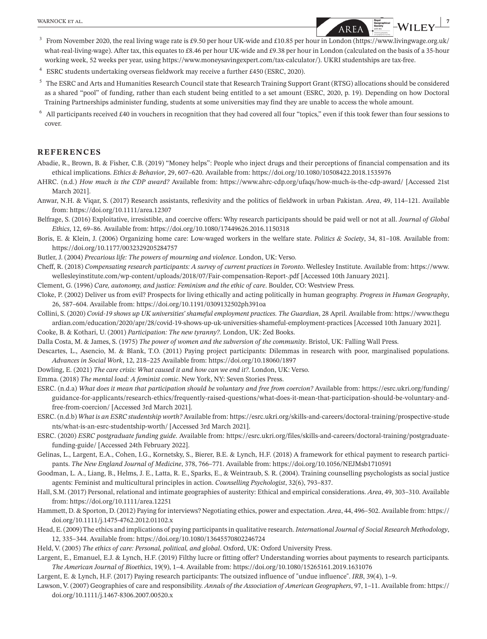- <sup>3</sup> From November 2020, the real living wage rate is £9.50 per hour UK-wide and £10.85 per hour in London ([https://www.livingwage.org.uk/](https://www.livingwage.org.uk/what-real-living-wage) [what-real-living-wage\)](https://www.livingwage.org.uk/what-real-living-wage). After tax, this equates to £8.46 per hour UK-wide and £9.38 per hour in London (calculated on the basis of a 35-hour working week, 52 weeks per year, using [https://www.moneysavingexpert.com/tax-calculator/\)](https://www.moneysavingexpert.com/tax-calculator/). UKRI studentships are tax-free.
- <sup>4</sup> ESRC students undertaking overseas fieldwork may receive a further £450 (ESRC, 2020).
- <sup>5</sup> The ESRC and Arts and Humanities Research Council state that Research Training Support Grant (RTSG) allocations should be considered as a shared "pool" of funding, rather than each student being entitled to a set amount (ESRC, 2020, p. 19). Depending on how Doctoral Training Partnerships administer funding, students at some universities may find they are unable to access the whole amount.
- <sup>6</sup> All participants received £40 in vouchers in recognition that they had covered all four "topics," even if this took fewer than four sessions to cover.

### **REFERENCES**

- Abadie, R., Brown, B. & Fisher, C.B. (2019) "Money helps": People who inject drugs and their perceptions of financial compensation and its ethical implications. *Ethics & Behavior*, 29, 607–620. Available from: <https://doi.org/10.1080/10508422.2018.1535976>
- AHRC. (n.d.) *How much is the CDP award?* Available from: <https://www.ahrc-cdp.org/ufaqs/how-much-is-the-cdp-award/> [Accessed 21st March 2021].
- Anwar, N.H. & Viqar, S. (2017) Research assistants, reflexivity and the politics of fieldwork in urban Pakistan. *Area*, 49, 114–121. Available from: <https://doi.org/10.1111/area.12307>
- Belfrage, S. (2016) Exploitative, irresistible, and coercive offers: Why research participants should be paid well or not at all. *Journal of Global Ethics*, 12, 69–86. Available from: <https://doi.org/10.1080/17449626.2016.1150318>
- Boris, E. & Klein, J. (2006) Organizing home care: Low-waged workers in the welfare state. *Politics & Society*, 34, 81–108. Available from: <https://doi.org/10.1177/0032329205284757>
- Butler, J. (2004) *Precarious life: The powers of mourning and violence*. London, UK: Verso.
- Cheff, R. (2018) *Compensating research participants: A survey of current practices in Toronto*. Wellesley Institute. Available from: [https://www.](https://www.wellesleyinstitute.com/wp-content/uploads/2018/07/Fair-compensation-Report-.pdf) [wellesleyinstitute.com/wp-content/uploads/2018/07/Fair-compensation-Report-.pdf](https://www.wellesleyinstitute.com/wp-content/uploads/2018/07/Fair-compensation-Report-.pdf) [Accessed 10th January 2021].
- Clement, G. (1996) *Care, autonomy, and justice: Feminism and the ethic of care*. Boulder, CO: Westview Press.
- Cloke, P. (2002) Deliver us from evil? Prospects for living ethically and acting politically in human geography. *Progress in Human Geography*, 26, 587–604. Available from: <https://doi.org/10.1191/0309132502ph391oa>
- Collini, S. (2020) *Covid-19 shows up UK universities' shameful employment practices*. *The Guardian*, 28 April. Available from: [https://www.thegu](https://www.theguardian.com/education/2020/apr/28/covid-19-shows-up-uk-universities-shameful-employment-practices) [ardian.com/education/2020/apr/28/covid-19-shows-up-uk-universities-shameful-employment-practices](https://www.theguardian.com/education/2020/apr/28/covid-19-shows-up-uk-universities-shameful-employment-practices) [Accessed 10th January 2021].

Cooke, B. & Kothari, U. (2001) *Participation: The new tyranny?*. London, UK: Zed Books.

- Dalla Costa, M. & James, S. (1975) *The power of women and the subversion of the community*. Bristol, UK: Falling Wall Press.
- Descartes, L., Asencio, M. & Blank, T.O. (2011) Paying project participants: Dilemmas in research with poor, marginalised populations. *Advances in Social Work*, 12, 218–225 Available from: <https://doi.org/10.18060/1897>
- Dowling, E. (2021) *The care crisis: What caused it and how can we end it?*. London, UK: Verso.
- Emma. (2018) *The mental load: A feminist comic*. New York, NY: Seven Stories Press.
- ESRC. (n.d.a) *What does it mean that participation should be voluntary and free from coercion?* Available from: [https://esrc.ukri.org/funding/](https://esrc.ukri.org/funding/guidance-for-applicants/research-ethics/frequently-raised-questions/what-does-it-mean-that-participation-should-be-voluntary-and-free-from-coercion/) [guidance-for-applicants/research-ethics/frequently-raised-questions/what-does-it-mean-that-participation-should-be-voluntary-and](https://esrc.ukri.org/funding/guidance-for-applicants/research-ethics/frequently-raised-questions/what-does-it-mean-that-participation-should-be-voluntary-and-free-from-coercion/)[free-from-coercion/](https://esrc.ukri.org/funding/guidance-for-applicants/research-ethics/frequently-raised-questions/what-does-it-mean-that-participation-should-be-voluntary-and-free-from-coercion/) [Accessed 3rd March 2021].
- ESRC. (n.d.b) *What is an ESRC studentship worth?* Available from: [https://esrc.ukri.org/skills-and-careers/doctoral-training/prospective-stude](https://esrc.ukri.org/skills-and-careers/doctoral-training/prospective-students/what-is-an-esrc-studentship-worth/) [nts/what-is-an-esrc-studentship-worth/](https://esrc.ukri.org/skills-and-careers/doctoral-training/prospective-students/what-is-an-esrc-studentship-worth/) [Accessed 3rd March 2021].
- ESRC. (2020) *ESRC postgraduate funding guide*. Available from: [https://esrc.ukri.org/files/skills-and-careers/doctoral-training/postgraduate](https://esrc.ukri.org/files/skills-and-careers/doctoral-training/postgraduate-funding-guide/)[funding-guide/](https://esrc.ukri.org/files/skills-and-careers/doctoral-training/postgraduate-funding-guide/) [Accessed 24th February 2022].
- Gelinas, L., Largent, E.A., Cohen, I.G., Kornetsky, S., Bierer, B.E. & Lynch, H.F. (2018) A framework for ethical payment to research participants. *The New England Journal of Medicine*, 378, 766–771. Available from: <https://doi.org/10.1056/NEJMsb1710591>
- Goodman, L. A., Liang, B., Helms, J. E., Latta, R. E., Sparks, E., & Weintraub, S. R. (2004). Training counselling psychologists as social justice agents: Feminist and multicultural principles in action. *Counselling Psychologist*, 32(6), 793–837.
- Hall, S.M. (2017) Personal, relational and intimate geographies of austerity: Ethical and empirical considerations. *Area*, 49, 303–310. Available from: <https://doi.org/10.1111/area.12251>
- Hammett, D. & Sporton, D. (2012) Paying for interviews? Negotiating ethics, power and expectation. *Area*, 44, 496–502. Available from: [https://](https://doi.org/10.1111/j.1475-4762.2012.01102.x) [doi.org/10.1111/j.1475-4762.2012.01102.x](https://doi.org/10.1111/j.1475-4762.2012.01102.x)
- Head, E. (2009) The ethics and implications of paying participantsin qualitative research. *International Journal of Social Research Methodology*, 12, 335–344. Available from: <https://doi.org/10.1080/13645570802246724>
- Held, V. (2005) *The ethics of care: Personal, political, and global*. Oxford, UK: Oxford University Press.
- Largent, E., Emanuel, E.J. & Lynch, H.F. (2019) Filthy lucre or fitting offer? Understanding worries about payments to research participants. *The American Journal of Bioethics*, 19(9), 1–4. Available from: <https://doi.org/10.1080/15265161.2019.1631076>
- Largent, E. & Lynch, H.F. (2017) Paying research participants: The outsized influence of "undue influence". *IRB*, 39(4), 1–9.
- Lawson, V. (2007) Geographies of care and responsibility. *Annals of the Association of American Geographers*, 97, 1–11. Available from: [https://](https://doi.org/10.1111/j.1467-8306.2007.00520.x) [doi.org/10.1111/j.1467-8306.2007.00520.x](https://doi.org/10.1111/j.1467-8306.2007.00520.x)